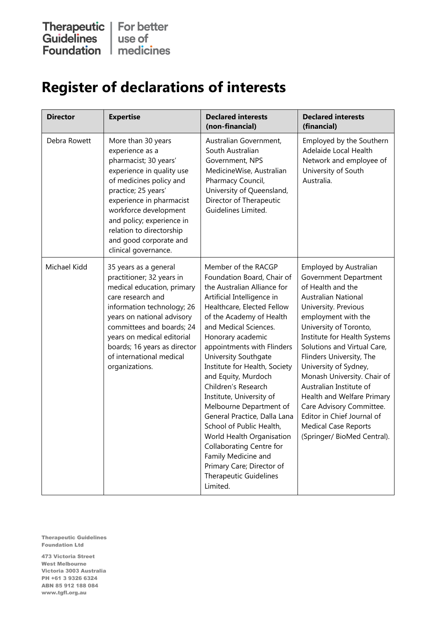## **Register of declarations of interests**

| <b>Director</b> | <b>Expertise</b>                                                                                                                                                                                                                                                                                              | <b>Declared interests</b><br>(non-financial)                                                                                                                                                                                                                                                                                                                                                                                                                                                                                                                                                                                                    | <b>Declared interests</b><br>(financial)                                                                                                                                                                                                                                                                                                                                                                                                                                                                        |
|-----------------|---------------------------------------------------------------------------------------------------------------------------------------------------------------------------------------------------------------------------------------------------------------------------------------------------------------|-------------------------------------------------------------------------------------------------------------------------------------------------------------------------------------------------------------------------------------------------------------------------------------------------------------------------------------------------------------------------------------------------------------------------------------------------------------------------------------------------------------------------------------------------------------------------------------------------------------------------------------------------|-----------------------------------------------------------------------------------------------------------------------------------------------------------------------------------------------------------------------------------------------------------------------------------------------------------------------------------------------------------------------------------------------------------------------------------------------------------------------------------------------------------------|
| Debra Rowett    | More than 30 years<br>experience as a<br>pharmacist; 30 years'<br>experience in quality use<br>of medicines policy and<br>practice; 25 years'<br>experience in pharmacist<br>workforce development<br>and policy; experience in<br>relation to directorship<br>and good corporate and<br>clinical governance. | Australian Government,<br>South Australian<br>Government, NPS<br>MedicineWise, Australian<br>Pharmacy Council,<br>University of Queensland,<br>Director of Therapeutic<br>Guidelines Limited.                                                                                                                                                                                                                                                                                                                                                                                                                                                   | Employed by the Southern<br>Adelaide Local Health<br>Network and employee of<br>University of South<br>Australia.                                                                                                                                                                                                                                                                                                                                                                                               |
| Michael Kidd    | 35 years as a general<br>practitioner; 32 years in<br>medical education, primary<br>care research and<br>information technology; 26<br>years on national advisory<br>committees and boards; 24<br>years on medical editorial<br>boards; 16 years as director<br>of international medical<br>organizations.    | Member of the RACGP<br>Foundation Board, Chair of<br>the Australian Alliance for<br>Artificial Intelligence in<br>Healthcare, Elected Fellow<br>of the Academy of Health<br>and Medical Sciences.<br>Honorary academic<br>appointments with Flinders<br>University Southgate<br>Institute for Health, Society<br>and Equity, Murdoch<br>Children's Research<br>Institute, University of<br>Melbourne Department of<br>General Practice, Dalla Lana<br>School of Public Health,<br>World Health Organisation<br><b>Collaborating Centre for</b><br>Family Medicine and<br>Primary Care; Director of<br><b>Therapeutic Guidelines</b><br>Limited. | Employed by Australian<br>Government Department<br>of Health and the<br><b>Australian National</b><br>University. Previous<br>employment with the<br>University of Toronto,<br>Institute for Health Systems<br>Solutions and Virtual Care,<br>Flinders University, The<br>University of Sydney,<br>Monash University. Chair of<br>Australian Institute of<br>Health and Welfare Primary<br>Care Advisory Committee.<br>Editor in Chief Journal of<br><b>Medical Case Reports</b><br>(Springer/ BioMed Central). |

Therapeutic Guidelines Foundation Ltd

473 Victoria Street West Melbourne Victoria 3003 Australia PH +61 3 9326 6324 ABN 85 912 188 084 www.tgfl.org.au